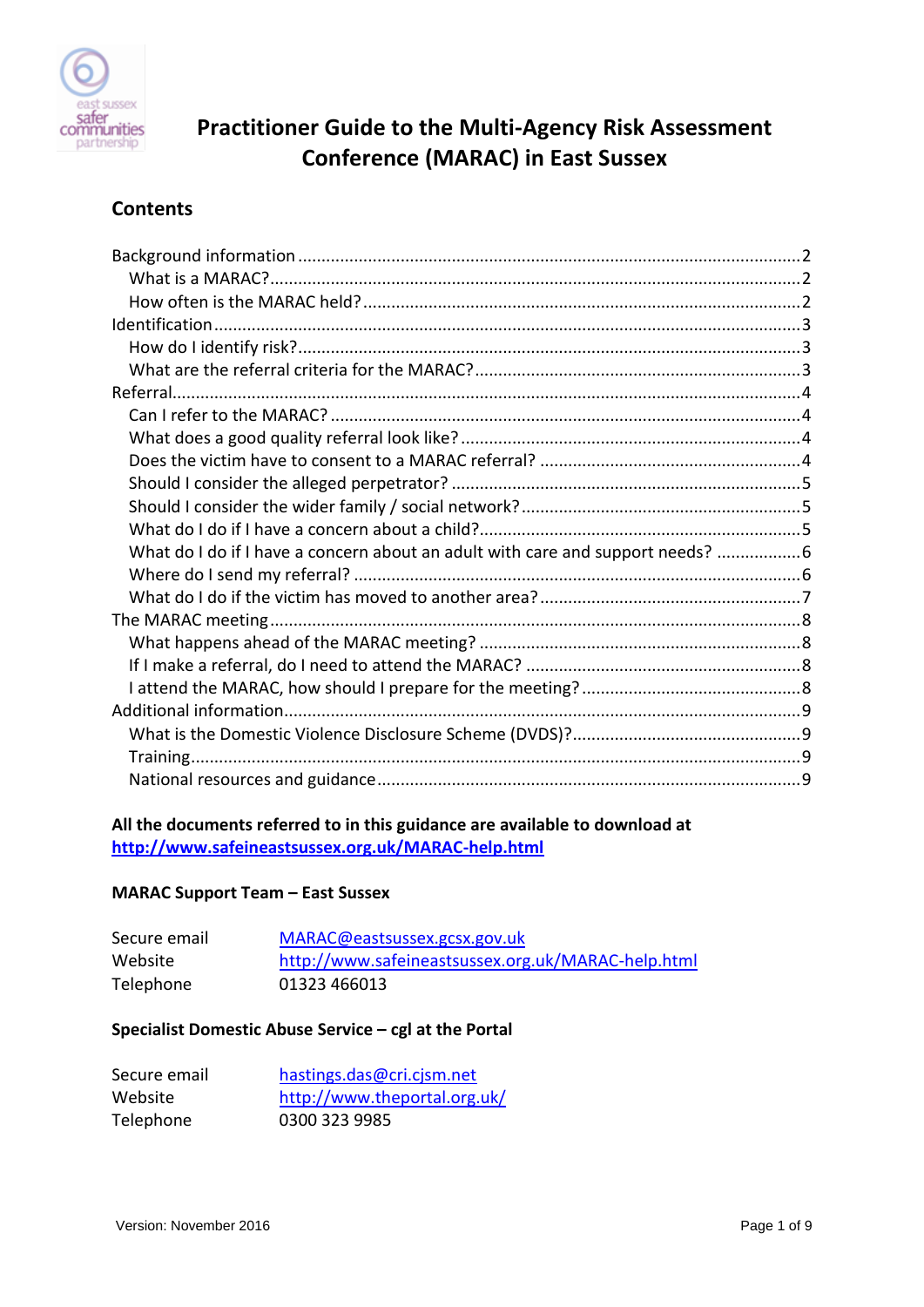

# **Practitioner Guide to the Multi-Agency Risk Assessment Conference (MARAC) in East Sussex**

# **Contents**

| What do I do if I have a concern about an adult with care and support needs? 6 |  |
|--------------------------------------------------------------------------------|--|
|                                                                                |  |
|                                                                                |  |
|                                                                                |  |
|                                                                                |  |
|                                                                                |  |
|                                                                                |  |
|                                                                                |  |
|                                                                                |  |
|                                                                                |  |
|                                                                                |  |
|                                                                                |  |

# **All the documents referred to in this guidance are available to download at <http://www.safeineastsussex.org.uk/MARAC-help.html>**

#### **MARAC Support Team – East Sussex**

| Secure email | MARAC@eastsussex.gcsx.gov.uk                       |
|--------------|----------------------------------------------------|
| Website      | http://www.safeineastsussex.org.uk/MARAC-help.html |
| Telephone    | 01323 466013                                       |

#### **Specialist Domestic Abuse Service – cgl at the Portal**

| Secure email | hastings.das@cri.cjsm.net    |
|--------------|------------------------------|
| Website      | http://www.theportal.org.uk/ |
| Telephone    | 0300 323 9985                |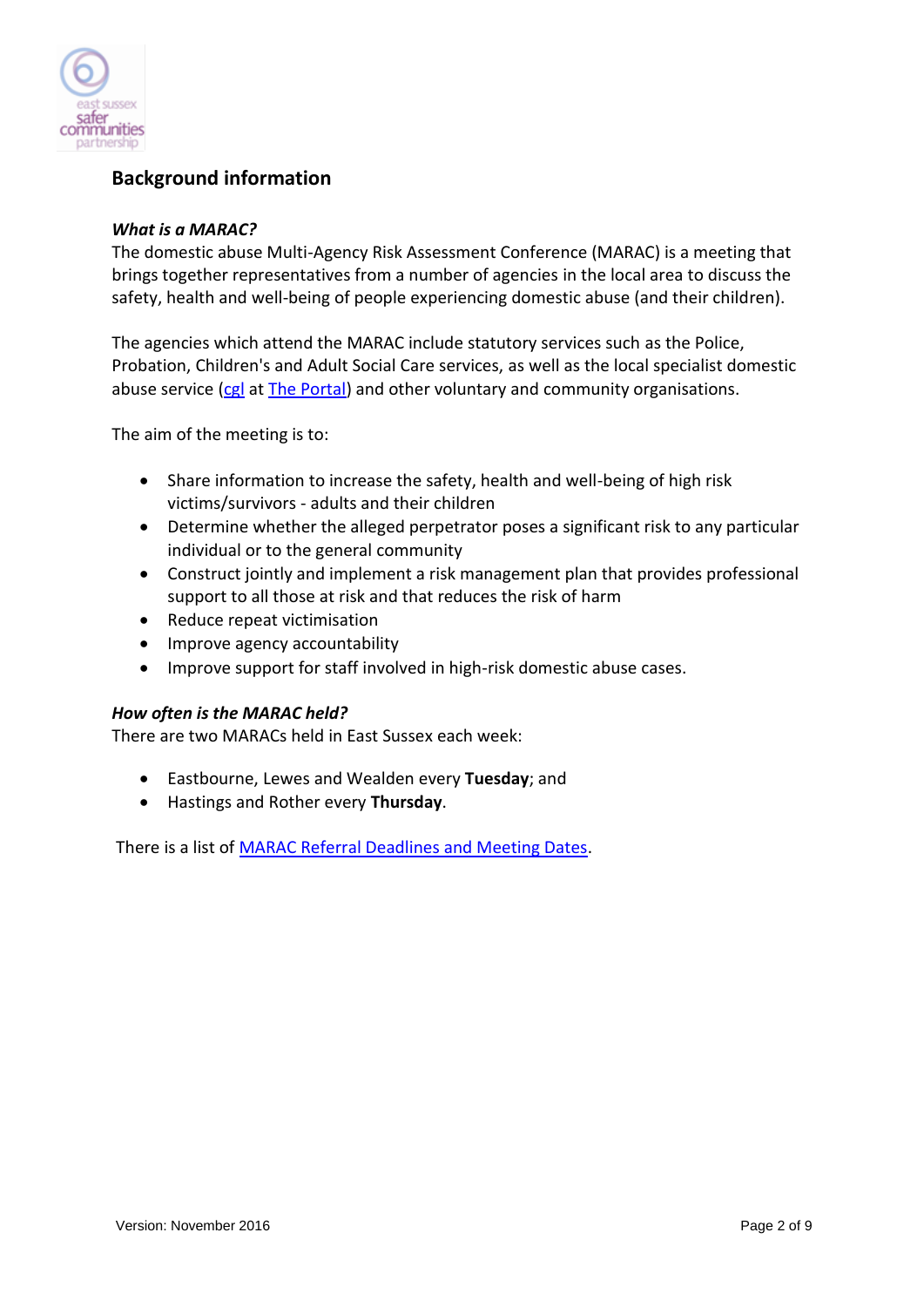

# <span id="page-1-0"></span>**Background information**

### <span id="page-1-1"></span>*What is a MARAC?*

The domestic abuse Multi-Agency Risk Assessment Conference (MARAC) is a meeting that brings together representatives from a number of agencies in the local area to discuss the safety, health and well-being of people experiencing domestic abuse (and their children).

The agencies which attend the MARAC include statutory services such as the Police, Probation, Children's and Adult Social Care services, as well as the local specialist domestic abuse service [\(cgl](http://www.changegrowlive.org/what-we-do/domestic-abuse-services) at [The Portal\)](http://www.theportal.org.uk/) and other voluntary and community organisations.

The aim of the meeting is to:

- Share information to increase the safety, health and well-being of high risk victims/survivors - adults and their children
- Determine whether the alleged perpetrator poses a significant risk to any particular individual or to the general community
- Construct jointly and implement a risk management plan that provides professional support to all those at risk and that reduces the risk of harm
- Reduce repeat victimisation
- Improve agency accountability
- Improve support for staff involved in high-risk domestic abuse cases.

#### <span id="page-1-2"></span>*How often is the MARAC held?*

There are two MARACs held in East Sussex each week:

- Eastbourne, Lewes and Wealden every **Tuesday**; and
- Hastings and Rother every **Thursday**.

There is a list of [MARAC Referral Deadlines and Meeting Dates.](http://www.safeineastsussex.org.uk/MARAC-help.html)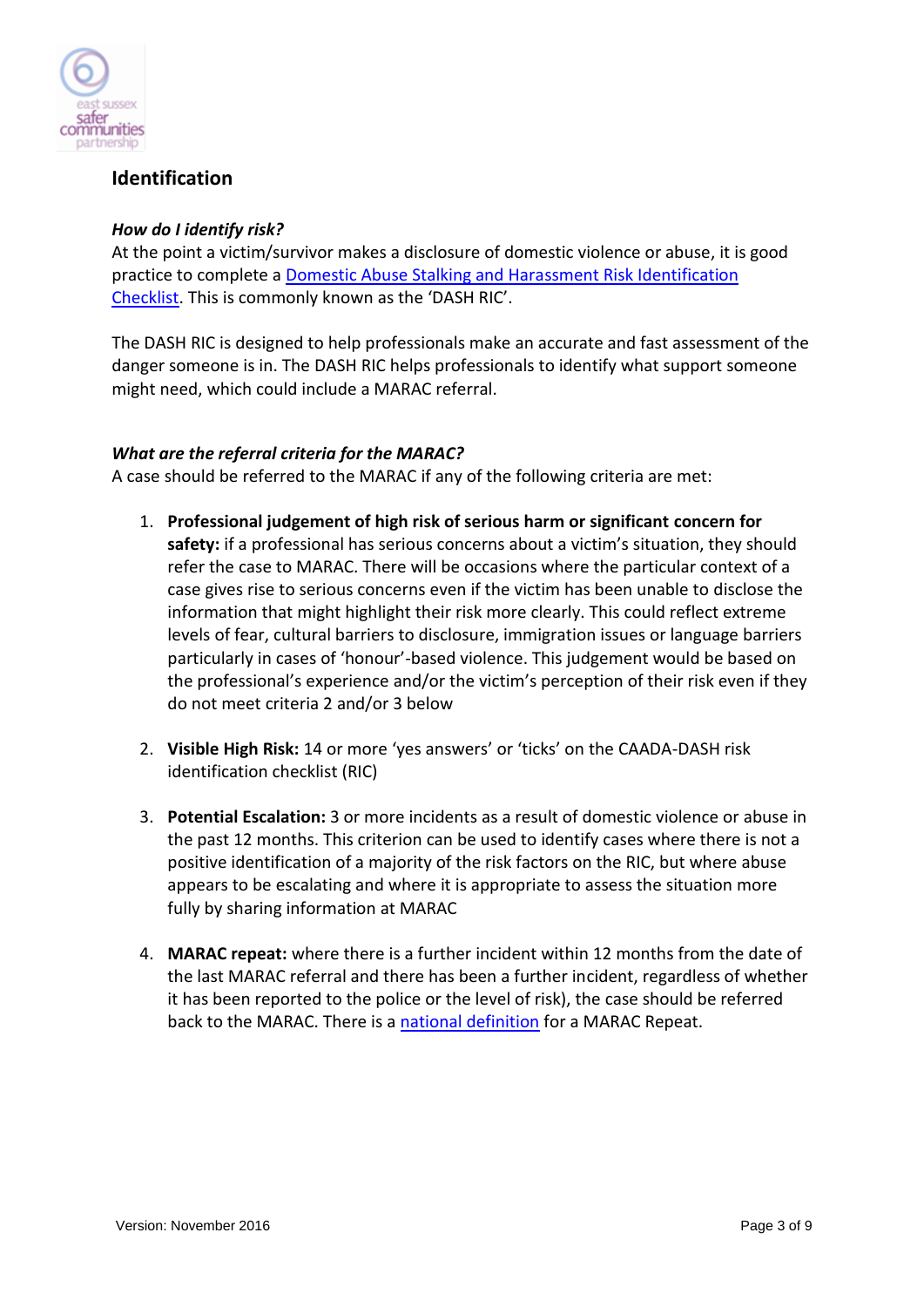

# <span id="page-2-0"></span>**Identification**

## <span id="page-2-1"></span>*How do I identify risk?*

At the point a victim/survivor makes a disclosure of domestic violence or abuse, it is good practice to complete a [Domestic Abuse Stalking and Harassment](http://www.safeineastsussex.org.uk/MARAC-help.html) Risk Identification [Checklist.](http://www.safeineastsussex.org.uk/MARAC-help.html) This is commonly known as the 'DASH RIC'.

The DASH RIC is designed to help professionals make an accurate and fast assessment of the danger someone is in. The DASH RIC helps professionals to identify what support someone might need, which could include a MARAC referral.

### <span id="page-2-2"></span>*What are the referral criteria for the MARAC?*

A case should be referred to the MARAC if any of the following criteria are met:

- 1. **Professional judgement of high risk of serious harm or significant concern for safety:** if a professional has serious concerns about a victim's situation, they should refer the case to MARAC. There will be occasions where the particular context of a case gives rise to serious concerns even if the victim has been unable to disclose the information that might highlight their risk more clearly. This could reflect extreme levels of fear, cultural barriers to disclosure, immigration issues or language barriers particularly in cases of 'honour'-based violence. This judgement would be based on the professional's experience and/or the victim's perception of their risk even if they do not meet criteria 2 and/or 3 below
- 2. **Visible High Risk:** 14 or more 'yes answers' or 'ticks' on the CAADA-DASH risk identification checklist (RIC)
- 3. **Potential Escalation:** 3 or more incidents as a result of domestic violence or abuse in the past 12 months. This criterion can be used to identify cases where there is not a positive identification of a majority of the risk factors on the RIC, but where abuse appears to be escalating and where it is appropriate to assess the situation more fully by sharing information at MARAC
- 4. **MARAC repeat:** where there is a further incident within 12 months from the date of the last MARAC referral and there has been a further incident, regardless of whether it has been reported to the police or the level of risk), the case should be referred back to the MARAC. There is a [national definition](http://www.safelives.org.uk/definition-repeat-marac) for a MARAC Repeat.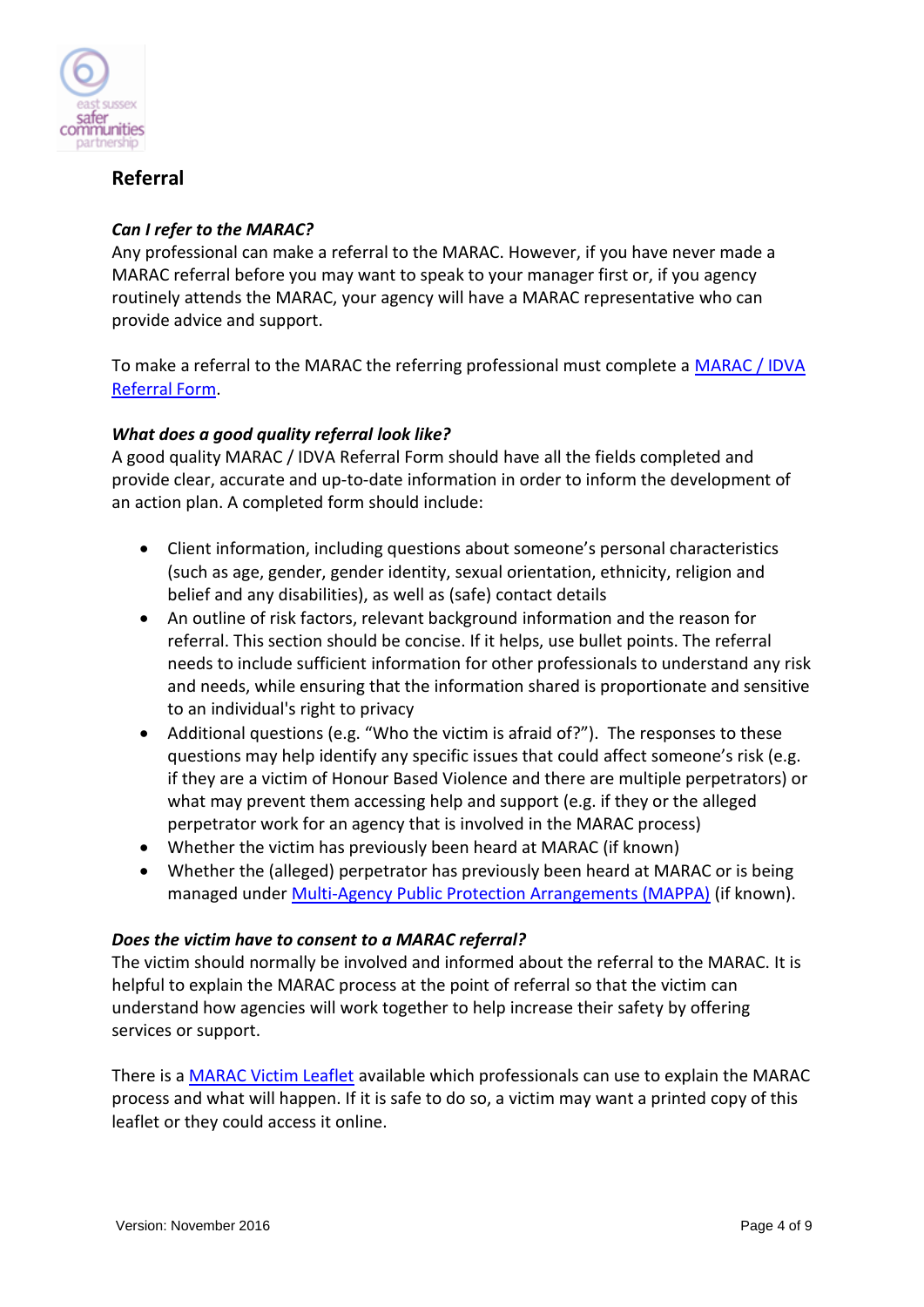

# <span id="page-3-0"></span>**Referral**

## <span id="page-3-1"></span>*Can I refer to the MARAC?*

Any professional can make a referral to the MARAC. However, if you have never made a MARAC referral before you may want to speak to your manager first or, if you agency routinely attends the MARAC, your agency will have a MARAC representative who can provide advice and support.

To make a referral to the MARAC the referring professional must complete a [MARAC / IDVA](http://www.safeineastsussex.org.uk/MARAC-help.html)  [Referral Form.](http://www.safeineastsussex.org.uk/MARAC-help.html)

### <span id="page-3-2"></span>*What does a good quality referral look like?*

A good quality MARAC / IDVA Referral Form should have all the fields completed and provide clear, accurate and up-to-date information in order to inform the development of an action plan. A completed form should include:

- Client information, including questions about someone's personal characteristics (such as age, gender, gender identity, sexual orientation, ethnicity, religion and belief and any disabilities), as well as (safe) contact details
- An outline of risk factors, relevant background information and the reason for referral. This section should be concise. If it helps, use bullet points. The referral needs to include sufficient information for other professionals to understand any risk and needs, while ensuring that the information shared is proportionate and sensitive to an individual's right to privacy
- Additional questions (e.g. "Who the victim is afraid of?"). The responses to these questions may help identify any specific issues that could affect someone's risk (e.g. if they are a victim of Honour Based Violence and there are multiple perpetrators) or what may prevent them accessing help and support (e.g. if they or the alleged perpetrator work for an agency that is involved in the MARAC process)
- Whether the victim has previously been heard at MARAC (if known)
- Whether the (alleged) perpetrator has previously been heard at MARAC or is being managed under [Multi-Agency Public Protection Arrangements \(MAPPA\)](http://www.surreyandsussexmappa.com/) (if known).

#### <span id="page-3-3"></span>*Does the victim have to consent to a MARAC referral?*

The victim should normally be involved and informed about the referral to the MARAC. It is helpful to explain the MARAC process at the point of referral so that the victim can understand how agencies will work together to help increase their safety by offering services or support.

There is [a MARAC Victim Leaflet](http://www.safeineastsussex.org.uk/MARAC-help.html) available which professionals can use to explain the MARAC process and what will happen. If it is safe to do so, a victim may want a printed copy of this leaflet or they could access it online.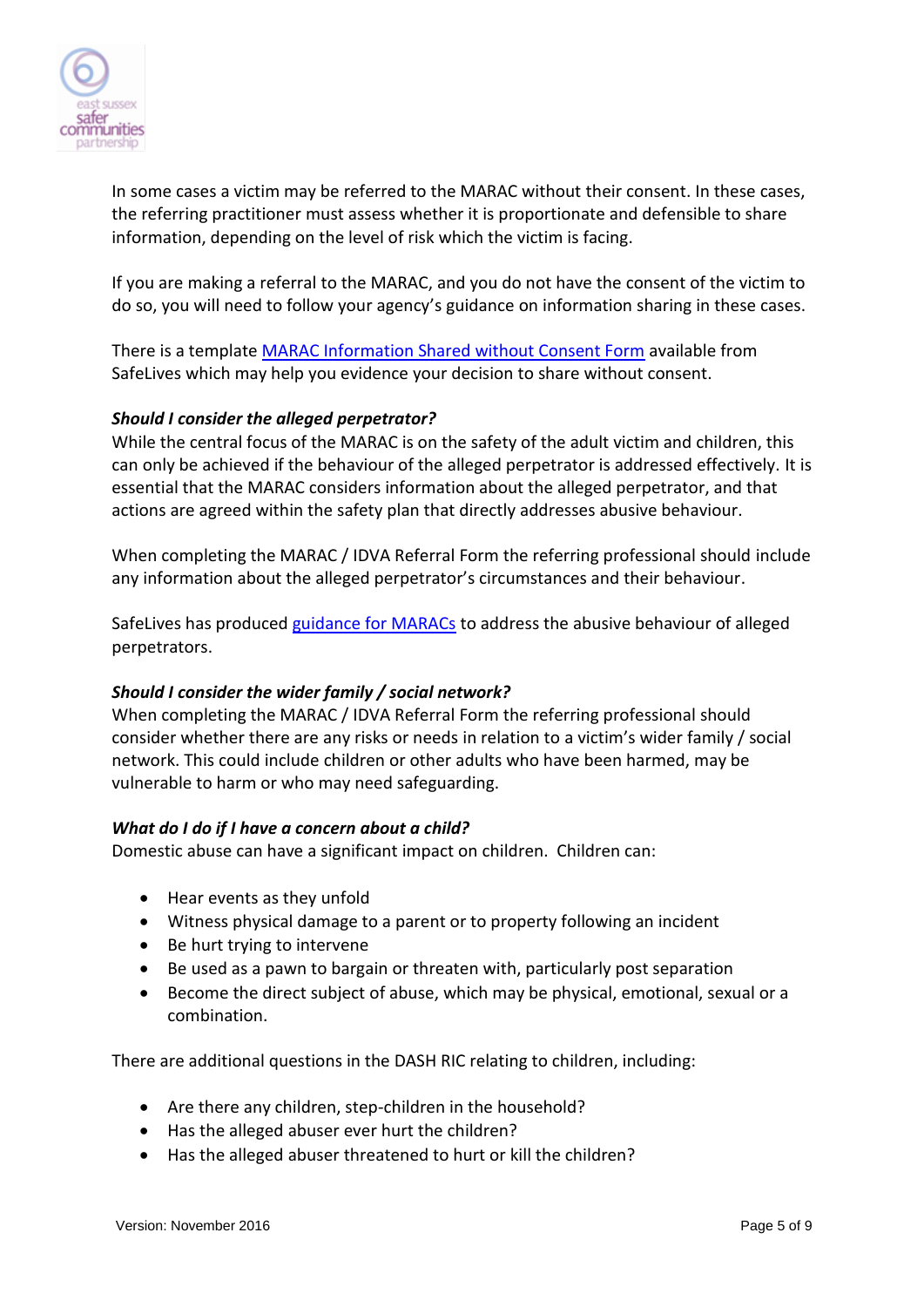

In some cases a victim may be referred to the MARAC without their consent. In these cases, the referring practitioner must assess whether it is proportionate and defensible to share information, depending on the level of risk which the victim is facing.

If you are making a referral to the MARAC, and you do not have the consent of the victim to do so, you will need to follow your agency's guidance on information sharing in these cases.

There is a template [MARAC Information Shared without Consent Form](http://www.safelives.org.uk/node/366) available from SafeLives which may help you evidence your decision to share without consent.

### <span id="page-4-0"></span>*Should I consider the alleged perpetrator?*

While the central focus of the MARAC is on the safety of the adult victim and children, this can only be achieved if the behaviour of the alleged perpetrator is addressed effectively. It is essential that the MARAC considers information about the alleged perpetrator, and that actions are agreed within the safety plan that directly addresses abusive behaviour.

When completing the MARAC / IDVA Referral Form the referring professional should include any information about the alleged perpetrator's circumstances and their behaviour.

SafeLives has produced [guidance for MARACs](http://www.safelives.org.uk/sites/default/files/resources/Perpetrator%20guidance%20for%20MARACs%20FINAL.pdf) to address the abusive behaviour of alleged perpetrators.

#### <span id="page-4-1"></span>*Should I consider the wider family / social network?*

When completing the MARAC / IDVA Referral Form the referring professional should consider whether there are any risks or needs in relation to a victim's wider family / social network. This could include children or other adults who have been harmed, may be vulnerable to harm or who may need safeguarding.

#### <span id="page-4-2"></span>*What do I do if I have a concern about a child?*

Domestic abuse can have a significant impact on children. Children can:

- Hear events as they unfold
- Witness physical damage to a parent or to property following an incident
- Be hurt trying to intervene
- Be used as a pawn to bargain or threaten with, particularly post separation
- Become the direct subject of abuse, which may be physical, emotional, sexual or a combination.

There are additional questions in the DASH RIC relating to children, including:

- Are there any children, step-children in the household?
- Has the alleged abuser ever hurt the children?
- Has the alleged abuser threatened to hurt or kill the children?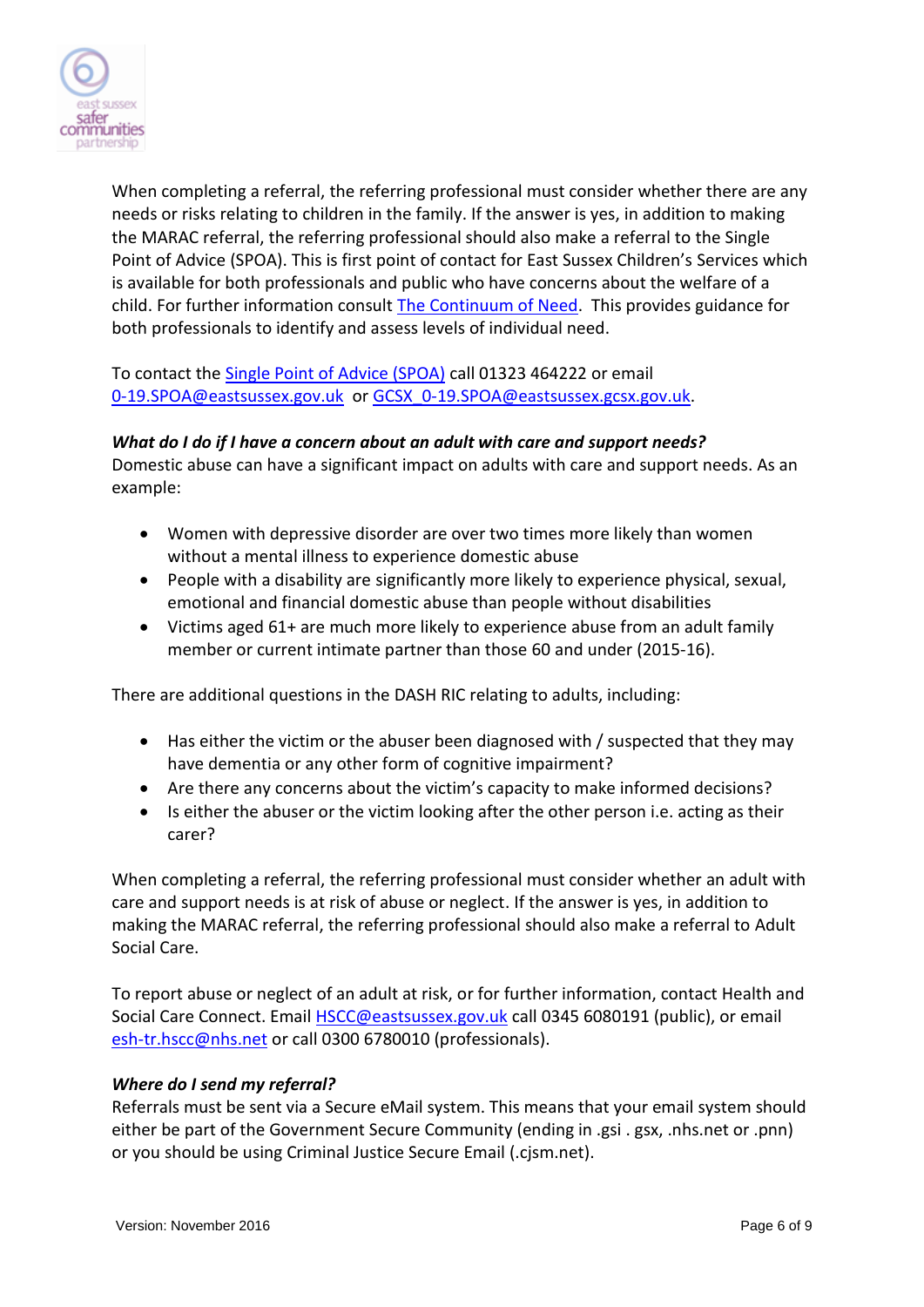

When completing a referral, the referring professional must consider whether there are any needs or risks relating to children in the family. If the answer is yes, in addition to making the MARAC referral, the referring professional should also make a referral to the Single Point of Advice (SPOA). This is first point of contact for East Sussex Children's Services which is available for both professionals and public who have concerns about the welfare of a child. For further information consult [The Continuum of Need.](https://www.eastsussex.gov.uk/childrenandfamilies/professional-resources/continuum-of-need/about/) This provides guidance for both professionals to identify and assess levels of individual need.

To contact the [Single Point of Advice \(SPOA\)](https://www.eastsussex.gov.uk/childrenandfamilies/professional-resources/spoa/before-contact/) call 01323 464222 or email [0-19.SPOA@eastsussex.gov.uk](mailto:0-19.SPOA@eastsussex.gov.uk) or [GCSX\\_0-19.SPOA@eastsussex.gcsx.gov.uk.](mailto:GCSX_0-19.SPOA@eastsussex.gcsx.gov.uk)

# <span id="page-5-0"></span>*What do I do if I have a concern about an adult with care and support needs?*

Domestic abuse can have a significant impact on adults with care and support needs. As an example:

- Women with depressive disorder are over two times more likely than women without a mental illness to experience domestic abuse
- People with a disability are significantly more likely to experience physical, sexual, emotional and financial domestic abuse than people without disabilities
- Victims aged 61+ are much more likely to experience abuse from an adult family member or current intimate partner than those 60 and under (2015-16).

There are additional questions in the DASH RIC relating to adults, including:

- Has either the victim or the abuser been diagnosed with / suspected that they may have dementia or any other form of cognitive impairment?
- Are there any concerns about the victim's capacity to make informed decisions?
- Is either the abuser or the victim looking after the other person i.e. acting as their carer?

When completing a referral, the referring professional must consider whether an adult with care and support needs is at risk of abuse or neglect. If the answer is yes, in addition to making the MARAC referral, the referring professional should also make a referral to Adult Social Care.

To report abuse or neglect of an adult at risk, or for further information, contact Health and Social Care Connect. Email [HSCC@eastsussex.gov.uk](mailto:HSCC@eastsussex.gov.uk) call 0345 6080191 (public), or email [esh-tr.hscc@nhs.net](mailto:esh-tr.hscc@nhs.net) or call 0300 6780010 (professionals).

#### <span id="page-5-1"></span>*Where do I send my referral?*

Referrals must be sent via a Secure eMail system. This means that your email system should either be part of the Government Secure Community (ending in .gsi . gsx, .nhs.net or .pnn) or you should be using Criminal Justice Secure Email (.cjsm.net).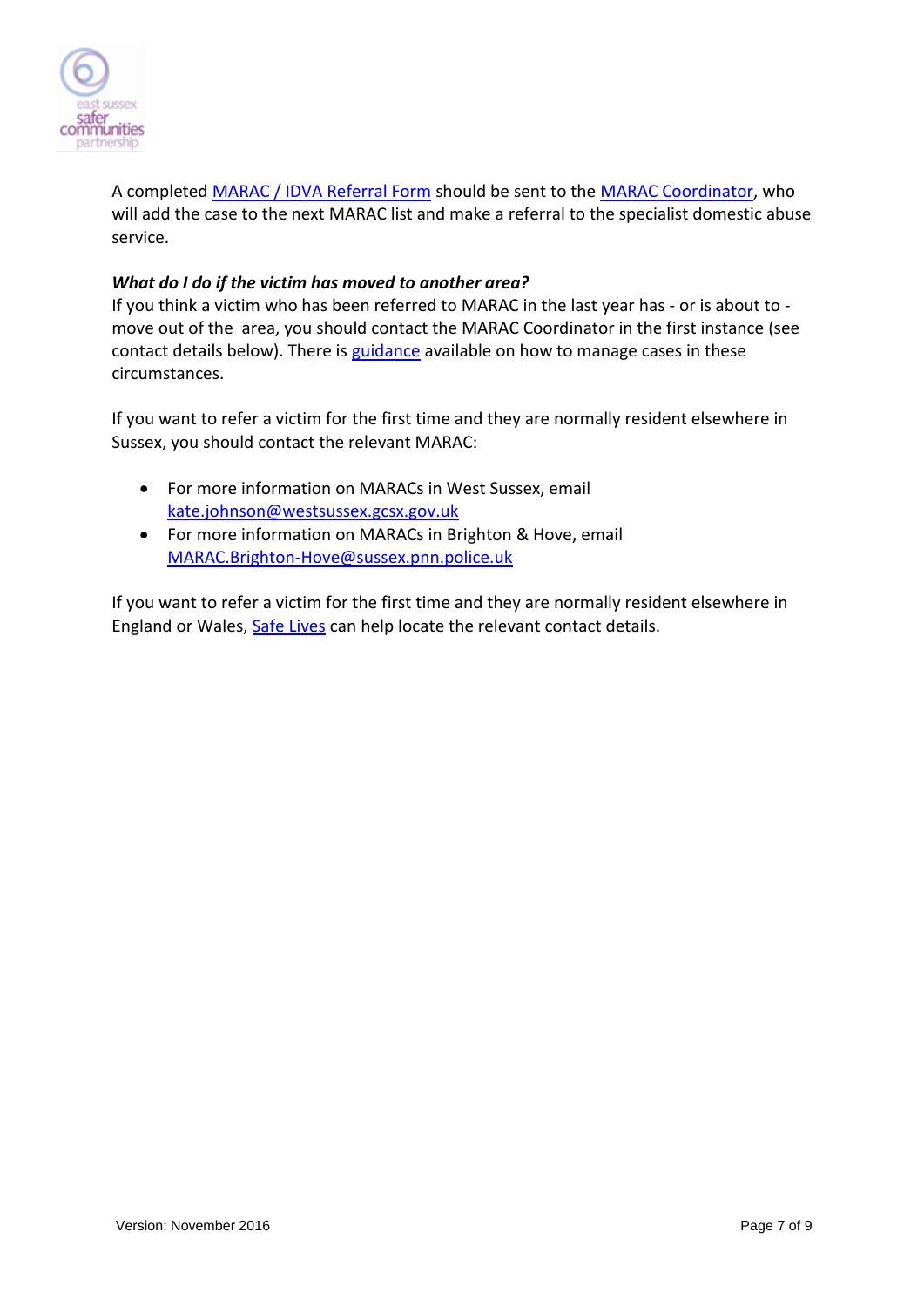

A completed [MARAC / IDVA Referral Form](http://www.safeineastsussex.org.uk/MARAC-help.html) should be sent to the [MARAC Coordinator,](http://www.safeineastsussex.org.uk/MARAC-help.html) who will add the case to the next MARAC list and make a referral to the specialist domestic abuse service.

## <span id="page-6-0"></span>*What do I do if the victim has moved to another area?*

If you think a victim who has been referred to MARAC in the last year has - or is about to move out of the area, you should contact the MARAC Coordinator in the first instance (see contact details below). There is [guidance](http://www.safelives.org.uk/sites/default/files/resources/MARAC%20to%20MARAC%20referral%20process%20FINAL.pdf) available on how to manage cases in these circumstances.

If you want to refer a victim for the first time and they are normally resident elsewhere in Sussex, you should contact the relevant MARAC:

- For more information on MARACs in West Sussex, email [kate.johnson@westsussex.gcsx.gov.uk](mailto:kate.johnson@westsussex.gcsx.gov.uk)
- For more information on MARACs in Brighton & Hove, email [MARAC.Brighton-Hove@sussex.pnn.police.uk](mailto:MARAC.Brighton-Hove@sussex.pnn.police.uk)

If you want to refer a victim for the first time and they are normally resident elsewhere in England or Wales, [Safe Lives](http://www.safelives.org.uk/practice-support/resources-marac-meetings/face-face-support/find-marac) can help locate the relevant contact details.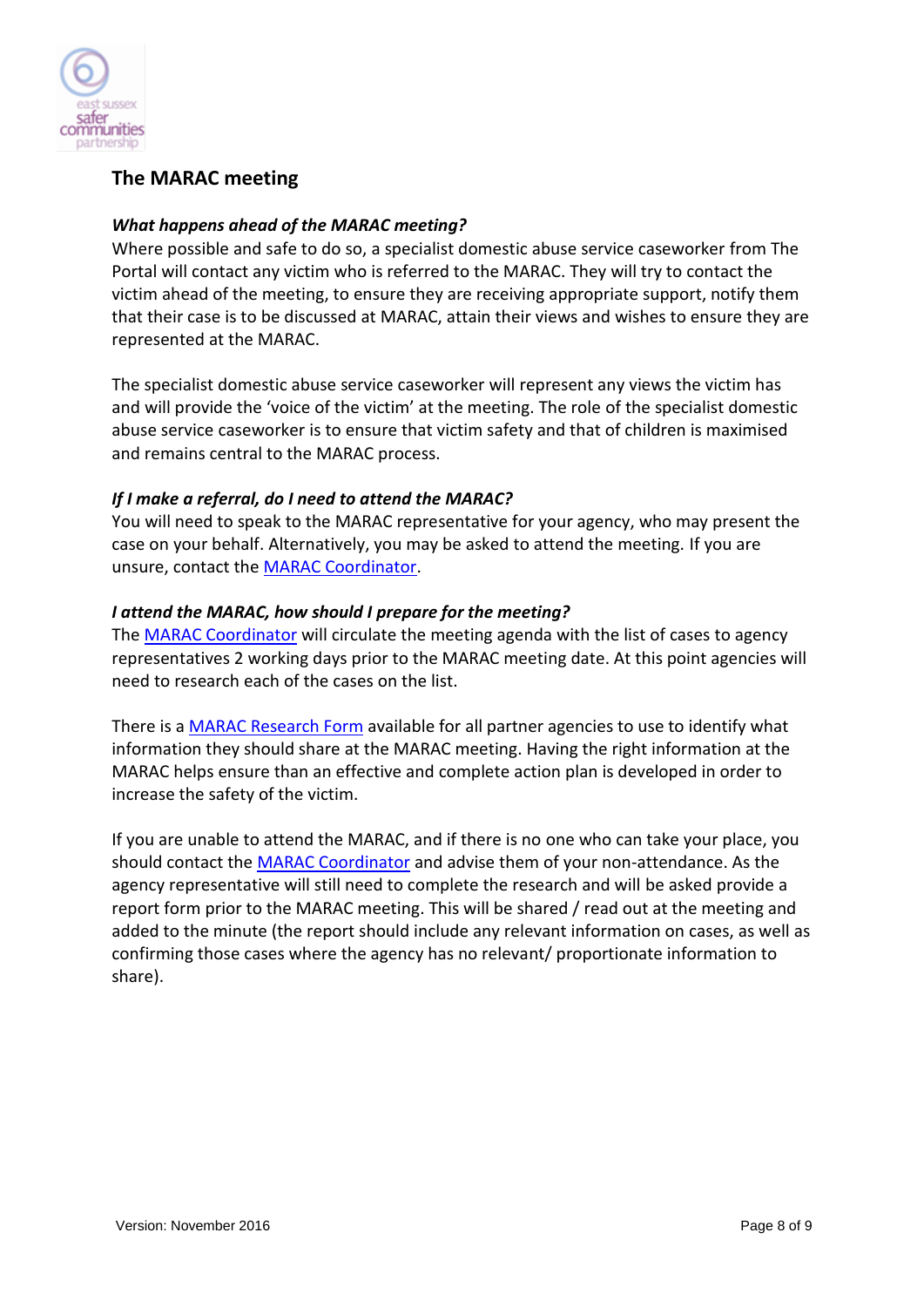

# <span id="page-7-0"></span>**The MARAC meeting**

### <span id="page-7-1"></span>*What happens ahead of the MARAC meeting?*

Where possible and safe to do so, a specialist domestic abuse service caseworker from The Portal will contact any victim who is referred to the MARAC. They will try to contact the victim ahead of the meeting, to ensure they are receiving appropriate support, notify them that their case is to be discussed at MARAC, attain their views and wishes to ensure they are represented at the MARAC.

The specialist domestic abuse service caseworker will represent any views the victim has and will provide the 'voice of the victim' at the meeting. The role of the specialist domestic abuse service caseworker is to ensure that victim safety and that of children is maximised and remains central to the MARAC process.

### <span id="page-7-2"></span>*If I make a referral, do I need to attend the MARAC?*

You will need to speak to the MARAC representative for your agency, who may present the case on your behalf. Alternatively, you may be asked to attend the meeting. If you are unsure, contact the [MARAC Coordinator.](http://www.safeineastsussex.org.uk/MARAC-help.html)

### <span id="page-7-3"></span>*I attend the MARAC, how should I prepare for the meeting?*

The [MARAC Coordinator](http://www.safeineastsussex.org.uk/MARAC-help.html) will circulate the meeting agenda with the list of cases to agency representatives 2 working days prior to the MARAC meeting date. At this point agencies will need to research each of the cases on the list.

There is [a MARAC Research Form](http://www.safeineastsussex.org.uk/MARAC-help.html) available for all partner agencies to use to identify what information they should share at the MARAC meeting. Having the right information at the MARAC helps ensure than an effective and complete action plan is developed in order to increase the safety of the victim.

If you are unable to attend the MARAC, and if there is no one who can take your place, you should contact the [MARAC Coordinator](http://www.safeineastsussex.org.uk/MARAC-help.html) and advise them of your non-attendance. As the agency representative will still need to complete the research and will be asked provide a report form prior to the MARAC meeting. This will be shared / read out at the meeting and added to the minute (the report should include any relevant information on cases, as well as confirming those cases where the agency has no relevant/ proportionate information to share).